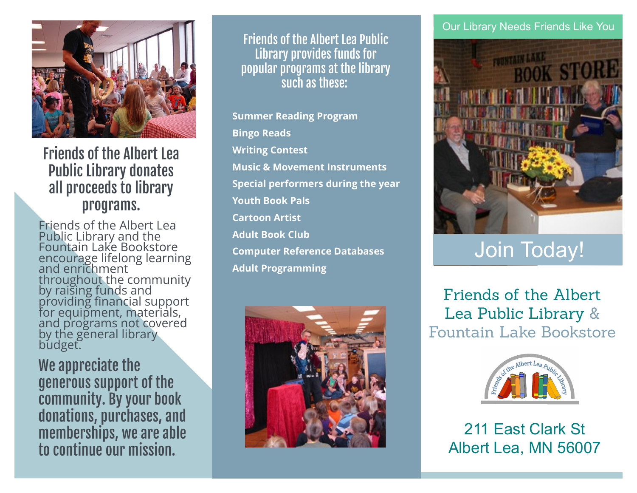

## Friends of the Albert Lea Public Library donates all proceeds to library programs.

Friends of the Albert Lea Public Library and the Fountain Lake Bookstore encourage lifelong learning and enrichment throughout the community by raising funds and providing financial support for equipment, materials, and programs not covered by the general library budget.

We appreciate the generous support of the community. By your book donations, purchases, and memberships, we are able to continue our mission.

Friends of the Albert Lea Public Library provides funds for popular programs at the library such as these:

**Summer Reading Program Bingo Reads Writing Contest Music & Movement Instruments Special performers during the year Youth Book Pals Cartoon Artist Adult Book Club Computer Reference Databases Adult Programming**



## Our Library Needs Friends Like You



# Join Today!

Friends of the Albert Lea Public Library & Fountain Lake Bookstore



211 East Clark St Albert Lea, MN 56007